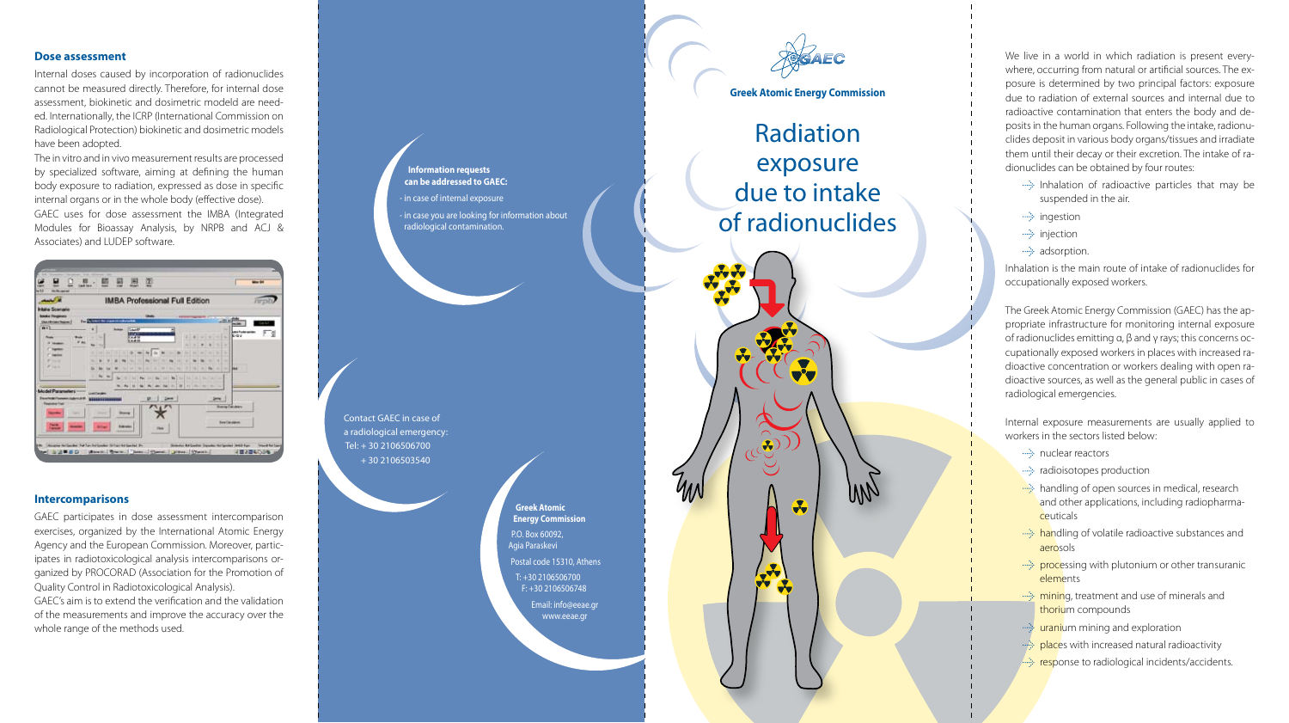## **Dose assessment**

Internal doses caused by incorporation of radionuclides cannot be measured directly. Therefore, for internal dose assessment, biokinetic and dosimetric modeld are need ed. Internationally, the ICRP (International Commission on Radiological Protection) biokinetic and dosimetric models have been adopted.

The in vitro and in vivo measurement results are processed by specialized software, aiming at defining the human body exposure to radiation, expressed as dose in specific internal organs or in the whole body (effective dose). GAEC uses for dose assessment the IMBA (Integrated Modules for Bioassay Analysis, by NRPB and ACJ & Associates) and LUDEP software.



#### **Intercomparisons**

GAEC participates in dose assessment intercomparison exercises, organized by the International Atomic Energy Agency and the European Commission. Moreover, partic ipates in radiotoxicological analysis intercomparisons or ganized by PROCORAD (Association for the Promotion of Quality Control in Radiotoxicological Analysis). GAEC's aim is to extend the verification and the validation of the measurements and improve the accuracy over the whole range of the methods used.

**Information requests can be addressed to GAEC:**  - in case of internal exposure - in case you are looking for information about radiological contamination.

Contact GAEC in case of a radiological emergency: Τel: + 30 2106506700 + 30 2106503540

> **Greek Atomic Energy Commission** P.O. Box 60092, Agia Paraskevi Postal code 15310, Athens Τ: +30 2106506700 F: +30 2106506748 Email: info@eeae.gr www.eeae.gr



# **Greek Atomic Energy Commission**

Radiation exposure due to intake of radionuclides

 $\bullet$ WV 3  $\sqrt{2}$ 

We live in a world in which radiation is present every where, occurring from natural or artificial sources. The ex posure is determined by two principal factors: exposure due to radiation of external sources and internal due to radioactive contamination that enters the body and de posits in the human organs. Following the intake, radionu clides deposit in various body organs/tissues and irradiate them until their decay or their excretion. The intake of ra dionuclides can be obtained by four routes:

- Inhalation of radioactive particles that may be suspended in the air.
- ····> ingestion
	- **injection**
	- $\rightarrow$  adsorption.

Inhalation is the main route of intake of radionuclides for occupationally exposed workers.

The Greek Atomic Energy Commission (GAEC) has the ap propriate infrastructure for monitoring internal exposure of radionuclides emitting α, β and γ rays; this concerns oc cupationally exposed workers in places with increased ra dioactive concentration or workers dealing with open ra dioactive sources, as well as the general public in cases of radiological emergencies.

Internal exposure measurements are usually applied to workers in the sectors listed below:

- **in the nuclear reactors**
- •• radioisotopes production
- **handling of open sources in medical, research** and other applications, including radiopharma ceuticals
- handling of volatile radioactive substances and aerosols
- $\rightarrow$  processing with plutonium or other transuranic elements
- mining, treatment and use of minerals and thorium compounds
- was uranium mining and exploration
- places with increased natural radioactivity
- response to radiological incidents/accidents.